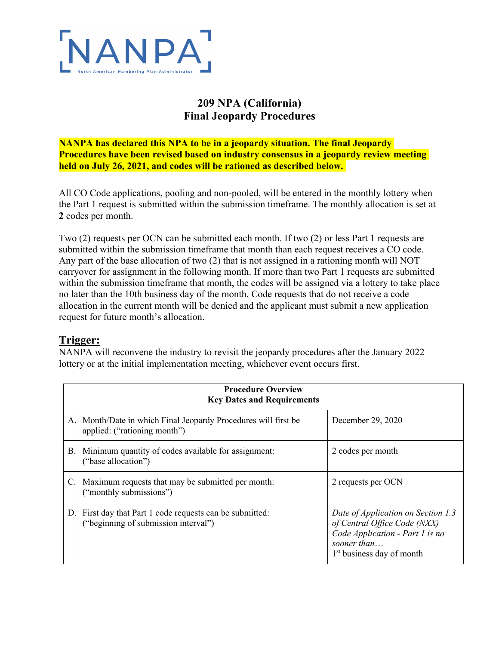

## **209 NPA (California) Final Jeopardy Procedures**

**NANPA has declared this NPA to be in a jeopardy situation. The final Jeopardy Procedures have been revised based on industry consensus in a jeopardy review meeting held on July 26, 2021, and codes will be rationed as described below.** 

All CO Code applications, pooling and non-pooled, will be entered in the monthly lottery when the Part 1 request is submitted within the submission timeframe. The monthly allocation is set at **2** codes per month.

Two (2) requests per OCN can be submitted each month. If two (2) or less Part 1 requests are submitted within the submission timeframe that month than each request receives a CO code. Any part of the base allocation of two (2) that is not assigned in a rationing month will NOT carryover for assignment in the following month. If more than two Part 1 requests are submitted within the submission timeframe that month, the codes will be assigned via a lottery to take place no later than the 10th business day of the month. Code requests that do not receive a code allocation in the current month will be denied and the applicant must submit a new application request for future month's allocation.

## **Trigger:**

NANPA will reconvene the industry to revisit the jeopardy procedures after the January 2022 lottery or at the initial implementation meeting, whichever event occurs first.

| <b>Procedure Overview</b><br><b>Key Dates and Requirements</b> |                                                                                               |                                                                                                                                                               |  |
|----------------------------------------------------------------|-----------------------------------------------------------------------------------------------|---------------------------------------------------------------------------------------------------------------------------------------------------------------|--|
| A.                                                             | Month/Date in which Final Jeopardy Procedures will first be<br>applied: ("rationing month")   | December 29, 2020                                                                                                                                             |  |
| B.                                                             | Minimum quantity of codes available for assignment:<br>("base allocation")                    | 2 codes per month                                                                                                                                             |  |
| C.                                                             | Maximum requests that may be submitted per month:<br>("monthly submissions")                  | 2 requests per OCN                                                                                                                                            |  |
| D.1                                                            | First day that Part 1 code requests can be submitted:<br>("beginning of submission interval") | Date of Application on Section 1.3<br>of Central Office Code (NXX)<br>Code Application - Part 1 is no<br>sooner than<br>1 <sup>st</sup> business day of month |  |